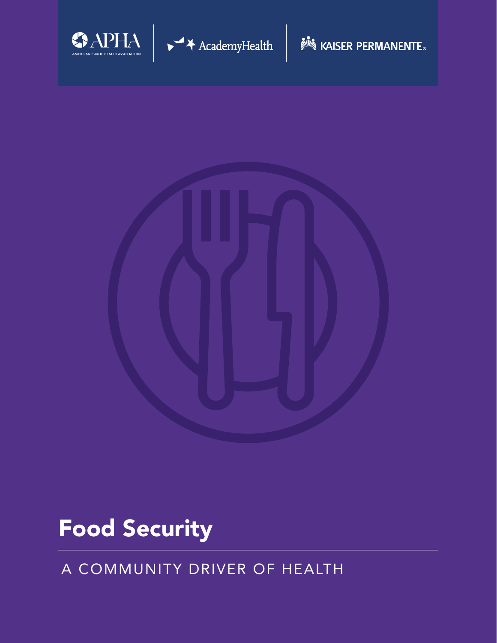



# Food Security

## A COMMUNITY DRIVER OF HEALTH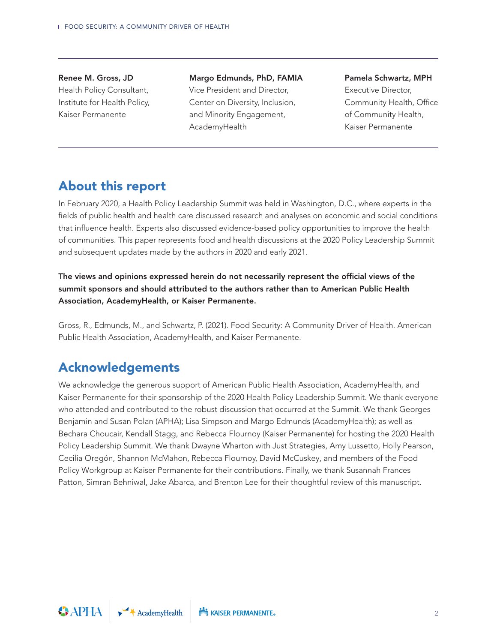#### Renee M. Gross, JD Health Policy Consultant, Institute for Health Policy, Kaiser Permanente

Margo Edmunds, PhD, FAMIA Vice President and Director, Center on Diversity, Inclusion, and Minority Engagement, AcademyHealth

#### Pamela Schwartz, MPH

Executive Director, Community Health, Office of Community Health, Kaiser Permanente

## About this report

In February 2020, a Health Policy Leadership Summit was held in Washington, D.C., where experts in the fields of public health and health care discussed research and analyses on economic and social conditions that influence health. Experts also discussed evidence-based policy opportunities to improve the health of communities. This paper represents food and health discussions at the 2020 Policy Leadership Summit and subsequent updates made by the authors in 2020 and early 2021.

#### The views and opinions expressed herein do not necessarily represent the official views of the summit sponsors and should attributed to the authors rather than to American Public Health Association, AcademyHealth, or Kaiser Permanente.

Gross, R., Edmunds, M., and Schwartz, P. (2021). Food Security: A Community Driver of Health. American Public Health Association, AcademyHealth, and Kaiser Permanente.

## Acknowledgements

We acknowledge the generous support of American Public Health Association, AcademyHealth, and Kaiser Permanente for their sponsorship of the 2020 Health Policy Leadership Summit. We thank everyone who attended and contributed to the robust discussion that occurred at the Summit. We thank Georges Benjamin and Susan Polan (APHA); Lisa Simpson and Margo Edmunds (AcademyHealth); as well as Bechara Choucair, Kendall Stagg, and Rebecca Flournoy (Kaiser Permanente) for hosting the 2020 Health Policy Leadership Summit. We thank Dwayne Wharton with Just Strategies, Amy Lussetto, Holly Pearson, Cecilia Oregón, Shannon McMahon, Rebecca Flournoy, David McCuskey, and members of the Food Policy Workgroup at Kaiser Permanente for their contributions. Finally, we thank Susannah Frances Patton, Simran Behniwal, Jake Abarca, and Brenton Lee for their thoughtful review of this manuscript.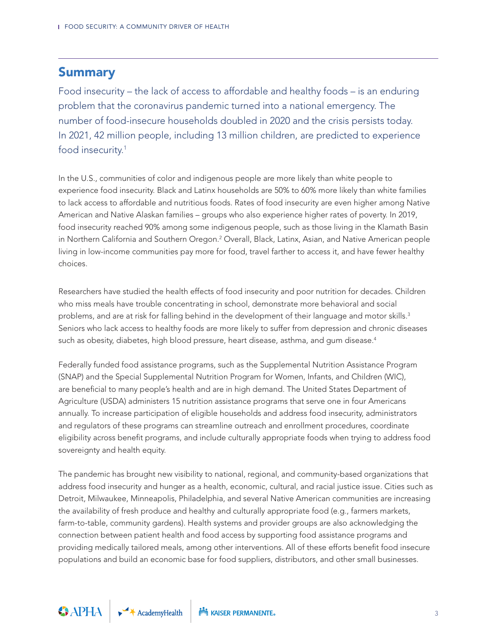### **Summary**

Food insecurity – the lack of access to affordable and healthy foods – is an enduring problem that the coronavirus pandemic turned into a national emergency. The number of food-insecure households doubled in 2020 and the crisis persists today. In 2021, 42 million people, including 13 million children, are predicted to experience food insecurity.<sup>1</sup>

In the U.S., communities of color and indigenous people are more likely than white people to experience food insecurity. Black and Latinx households are 50% to 60% more likely than white families to lack access to affordable and nutritious foods. Rates of food insecurity are even higher among Native American and Native Alaskan families – groups who also experience higher rates of poverty. In 2019, food insecurity reached 90% among some indigenous people, such as those living in the Klamath Basin in Northern California and Southern Oregon.<sup>2</sup> Overall, Black, Latinx, Asian, and Native American people living in low-income communities pay more for food, travel farther to access it, and have fewer healthy choices.

Researchers have studied the health effects of food insecurity and poor nutrition for decades. Children who miss meals have trouble concentrating in school, demonstrate more behavioral and social problems, and are at risk for falling behind in the development of their language and motor skills. $^3$ Seniors who lack access to healthy foods are more likely to suffer from depression and chronic diseases such as obesity, diabetes, high blood pressure, heart disease, asthma, and gum disease. $^4$ 

Federally funded food assistance programs, such as the Supplemental Nutrition Assistance Program (SNAP) and the Special Supplemental Nutrition Program for Women, Infants, and Children (WIC), are beneficial to many people's health and are in high demand. The United States Department of Agriculture (USDA) administers 15 nutrition assistance programs that serve one in four Americans annually. To increase participation of eligible households and address food insecurity, administrators and regulators of these programs can streamline outreach and enrollment procedures, coordinate eligibility across benefit programs, and include culturally appropriate foods when trying to address food sovereignty and health equity.

The pandemic has brought new visibility to national, regional, and community-based organizations that address food insecurity and hunger as a health, economic, cultural, and racial justice issue. Cities such as Detroit, Milwaukee, Minneapolis, Philadelphia, and several Native American communities are increasing the availability of fresh produce and healthy and culturally appropriate food (e.g., farmers markets, farm-to-table, community gardens). Health systems and provider groups are also acknowledging the connection between patient health and food access by supporting food assistance programs and providing medically tailored meals, among other interventions. All of these efforts benefit food insecure populations and build an economic base for food suppliers, distributors, and other small businesses.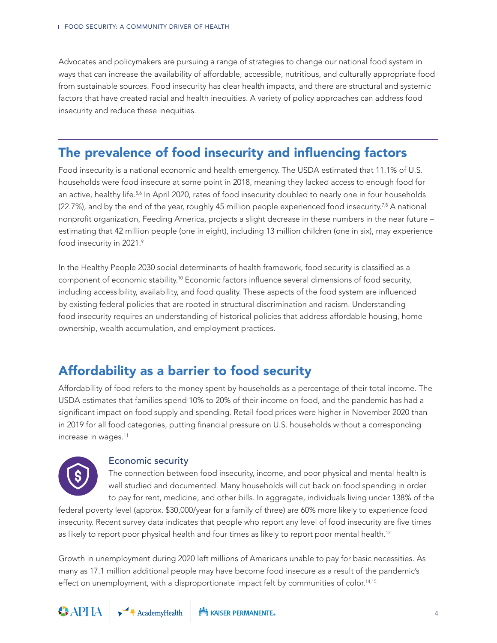Advocates and policymakers are pursuing a range of strategies to change our national food system in ways that can increase the availability of affordable, accessible, nutritious, and culturally appropriate food from sustainable sources. Food insecurity has clear health impacts, and there are structural and systemic factors that have created racial and health inequities. A variety of policy approaches can address food insecurity and reduce these inequities.

## The prevalence of food insecurity and influencing factors

Food insecurity is a national economic and health emergency. The USDA estimated that 11.1% of U.S. households were food insecure at some point in 2018, meaning they lacked access to enough food for an active, healthy life.<sup>5,6</sup> In April 2020, rates of food insecurity doubled to nearly one in four households  $(22.7%)$ , and by the end of the year, roughly 45 million people experienced food insecurity.<sup>7,8</sup> A national nonprofit organization, Feeding America, projects a slight decrease in these numbers in the near future – estimating that 42 million people (one in eight), including 13 million children (one in six), may experience food insecurity in 2021.9

In the Healthy People 2030 social determinants of health framework, food security is classified as a component of economic stability.10 Economic factors influence several dimensions of food security, including accessibility, availability, and food quality. These aspects of the food system are influenced by existing federal policies that are rooted in structural discrimination and racism. Understanding food insecurity requires an understanding of historical policies that address affordable housing, home ownership, wealth accumulation, and employment practices.

## Affordability as a barrier to food security

Affordability of food refers to the money spent by households as a percentage of their total income. The USDA estimates that families spend 10% to 20% of their income on food, and the pandemic has had a significant impact on food supply and spending. Retail food prices were higher in November 2020 than in 2019 for all food categories, putting financial pressure on U.S. households without a corresponding increase in wages.<sup>11</sup>



#### Economic security

The connection between food insecurity, income, and poor physical and mental health is well studied and documented. Many households will cut back on food spending in order to pay for rent, medicine, and other bills. In aggregate, individuals living under 138% of the

federal poverty level (approx. \$30,000/year for a family of three) are 60% more likely to experience food insecurity. Recent survey data indicates that people who report any level of food insecurity are five times as likely to report poor physical health and four times as likely to report poor mental health.<sup>12</sup>

Growth in unemployment during 2020 left millions of Americans unable to pay for basic necessities. As many as 17.1 million additional people may have become food insecure as a result of the pandemic's effect on unemployment, with a disproportionate impact felt by communities of color.<sup>14,15</sup>

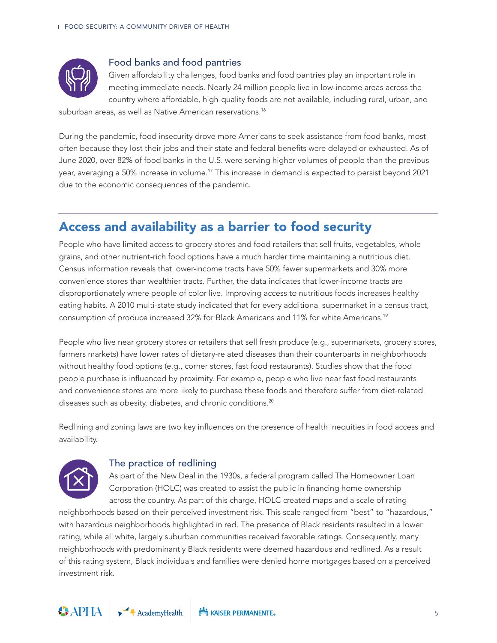

#### Food banks and food pantries

Given affordability challenges, food banks and food pantries play an important role in meeting immediate needs. Nearly 24 million people live in low-income areas across the country where affordable, high-quality foods are not available, including rural, urban, and

suburban areas, as well as Native American reservations.<sup>16</sup>

During the pandemic, food insecurity drove more Americans to seek assistance from food banks, most often because they lost their jobs and their state and federal benefits were delayed or exhausted. As of June 2020, over 82% of food banks in the U.S. were serving higher volumes of people than the previous year, averaging a 50% increase in volume.17 This increase in demand is expected to persist beyond 2021 due to the economic consequences of the pandemic.

## Access and availability as a barrier to food security

People who have limited access to grocery stores and food retailers that sell fruits, vegetables, whole grains, and other nutrient-rich food options have a much harder time maintaining a nutritious diet. Census information reveals that lower-income tracts have 50% fewer supermarkets and 30% more convenience stores than wealthier tracts. Further, the data indicates that lower-income tracts are disproportionately where people of color live. Improving access to nutritious foods increases healthy eating habits. A 2010 multi-state study indicated that for every additional supermarket in a census tract, consumption of produce increased 32% for Black Americans and 11% for white Americans.19

People who live near grocery stores or retailers that sell fresh produce (e.g., supermarkets, grocery stores, farmers markets) have lower rates of dietary-related diseases than their counterparts in neighborhoods without healthy food options (e.g., corner stores, fast food restaurants). Studies show that the food people purchase is influenced by proximity. For example, people who live near fast food restaurants and convenience stores are more likely to purchase these foods and therefore suffer from diet-related diseases such as obesity, diabetes, and chronic conditions.<sup>20</sup>

Redlining and zoning laws are two key influences on the presence of health inequities in food access and availability.



#### The practice of redlining

As part of the New Deal in the 1930s, a federal program called The Homeowner Loan Corporation (HOLC) was created to assist the public in financing home ownership across the country. As part of this charge, HOLC created maps and a scale of rating

neighborhoods based on their perceived investment risk. This scale ranged from "best" to "hazardous," with hazardous neighborhoods highlighted in red. The presence of Black residents resulted in a lower rating, while all white, largely suburban communities received favorable ratings. Consequently, many neighborhoods with predominantly Black residents were deemed hazardous and redlined. As a result of this rating system, Black individuals and families were denied home mortgages based on a perceived investment risk.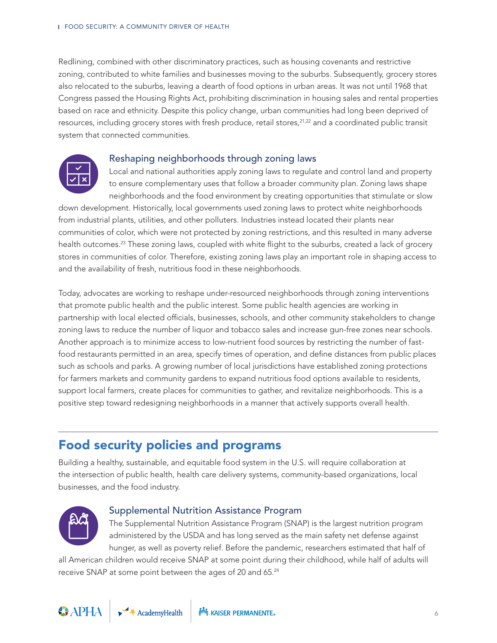Redlining, combined with other discriminatory practices, such as housing covenants and restrictive zoning, contributed to white families and businesses moving to the suburbs. Subsequently, grocery stores also relocated to the suburbs, leaving a dearth of food options in urban areas. It was not until 1968 that Congress passed the Housing Rights Act, prohibiting discrimination in housing sales and rental properties based on race and ethnicity. Despite this policy change, urban communities had long been deprived of resources, including grocery stores with fresh produce, retail stores,<sup>21,22</sup> and a coordinated public transit system that connected communities.



#### Reshaping neighborhoods through zoning laws

Local and national authorities apply zoning laws to regulate and control land and property to ensure complementary uses that follow a broader community plan. Zoning laws shape neighborhoods and the food environment by creating opportunities that stimulate or slow

down development. Historically, local governments used zoning laws to protect white neighborhoods from industrial plants, utilities, and other polluters. Industries instead located their plants near communities of color, which were not protected by zoning restrictions, and this resulted in many adverse health outcomes.<sup>23</sup> These zoning laws, coupled with white flight to the suburbs, created a lack of grocery stores in communities of color. Therefore, existing zoning laws play an important role in shaping access to and the availability of fresh, nutritious food in these neighborhoods.

Today, advocates are working to reshape under-resourced neighborhoods through zoning interventions that promote public health and the public interest. Some public health agencies are working in partnership with local elected officials, businesses, schools, and other community stakeholders to change zoning laws to reduce the number of liquor and tobacco sales and increase gun-free zones near schools. Another approach is to minimize access to low-nutrient food sources by restricting the number of fastfood restaurants permitted in an area, specify times of operation, and define distances from public places such as schools and parks. A growing number of local jurisdictions have established zoning protections for farmers markets and community gardens to expand nutritious food options available to residents, support local farmers, create places for communities to gather, and revitalize neighborhoods. This is a positive step toward redesigning neighborhoods in a manner that actively supports overall health.

## Food security policies and programs

Building a healthy, sustainable, and equitable food system in the U.S. will require collaboration at the intersection of public health, health care delivery systems, community-based organizations, local businesses, and the food industry.



#### Supplemental Nutrition Assistance Program

The Supplemental Nutrition Assistance Program (SNAP) is the largest nutrition program administered by the USDA and has long served as the main safety net defense against hunger, as well as poverty relief. Before the pandemic, researchers estimated that half of

all American children would receive SNAP at some point during their childhood, while half of adults will receive SNAP at some point between the ages of 20 and 65.24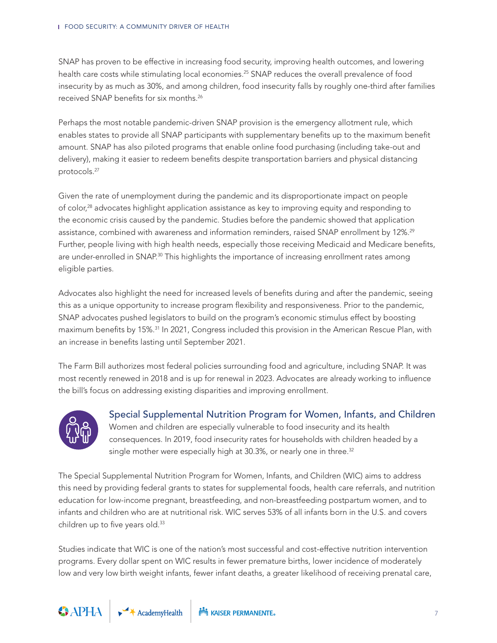SNAP has proven to be effective in increasing food security, improving health outcomes, and lowering health care costs while stimulating local economies.<sup>25</sup> SNAP reduces the overall prevalence of food insecurity by as much as 30%, and among children, food insecurity falls by roughly one-third after families received SNAP benefits for six months.26

Perhaps the most notable pandemic-driven SNAP provision is the emergency allotment rule, which enables states to provide all SNAP participants with supplementary benefits up to the maximum benefit amount. SNAP has also piloted programs that enable online food purchasing (including take-out and delivery), making it easier to redeem benefits despite transportation barriers and physical distancing protocols.27

Given the rate of unemployment during the pandemic and its disproportionate impact on people of color,28 advocates highlight application assistance as key to improving equity and responding to the economic crisis caused by the pandemic. Studies before the pandemic showed that application assistance, combined with awareness and information reminders, raised SNAP enrollment by 12%.<sup>29</sup> Further, people living with high health needs, especially those receiving Medicaid and Medicare benefits, are under-enrolled in SNAP.<sup>30</sup> This highlights the importance of increasing enrollment rates among eligible parties.

Advocates also highlight the need for increased levels of benefits during and after the pandemic, seeing this as a unique opportunity to increase program flexibility and responsiveness. Prior to the pandemic, SNAP advocates pushed legislators to build on the program's economic stimulus effect by boosting maximum benefits by 15%.<sup>31</sup> In 2021, Congress included this provision in the American Rescue Plan, with an increase in benefits lasting until September 2021.

The Farm Bill authorizes most federal policies surrounding food and agriculture, including SNAP. It was most recently renewed in 2018 and is up for renewal in 2023. Advocates are already working to influence the bill's focus on addressing existing disparities and improving enrollment.



Special Supplemental Nutrition Program for Women, Infants, and Children Women and children are especially vulnerable to food insecurity and its health consequences. In 2019, food insecurity rates for households with children headed by a single mother were especially high at 30.3%, or nearly one in three.<sup>32</sup>

The Special Supplemental Nutrition Program for Women, Infants, and Children (WIC) aims to address this need by providing federal grants to states for supplemental foods, health care referrals, and nutrition education for low-income pregnant, breastfeeding, and non-breastfeeding postpartum women, and to infants and children who are at nutritional risk. WIC serves 53% of all infants born in the U.S. and covers children up to five years old.<sup>33</sup>

Studies indicate that WIC is one of the nation's most successful and cost-effective nutrition intervention programs. Every dollar spent on WIC results in fewer premature births, lower incidence of moderately low and very low birth weight infants, fewer infant deaths, a greater likelihood of receiving prenatal care,

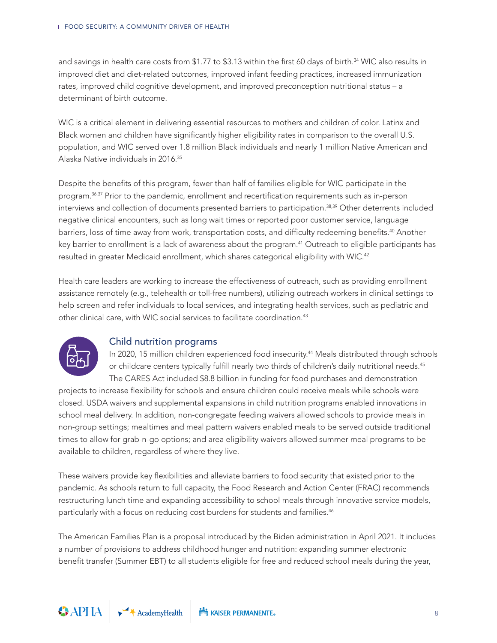and savings in health care costs from \$1.77 to \$3.13 within the first 60 days of birth.<sup>34</sup> WIC also results in improved diet and diet-related outcomes, improved infant feeding practices, increased immunization rates, improved child cognitive development, and improved preconception nutritional status – a determinant of birth outcome.

WIC is a critical element in delivering essential resources to mothers and children of color. Latinx and Black women and children have significantly higher eligibility rates in comparison to the overall U.S. population, and WIC served over 1.8 million Black individuals and nearly 1 million Native American and Alaska Native individuals in 2016.35

Despite the benefits of this program, fewer than half of families eligible for WIC participate in the program.36,37 Prior to the pandemic, enrollment and recertification requirements such as in-person interviews and collection of documents presented barriers to participation.38,39 Other deterrents included negative clinical encounters, such as long wait times or reported poor customer service, language barriers, loss of time away from work, transportation costs, and difficulty redeeming benefits.<sup>40</sup> Another key barrier to enrollment is a lack of awareness about the program.<sup>41</sup> Outreach to eligible participants has resulted in greater Medicaid enrollment, which shares categorical eligibility with WIC.<sup>42</sup>

Health care leaders are working to increase the effectiveness of outreach, such as providing enrollment assistance remotely (e.g., telehealth or toll-free numbers), utilizing outreach workers in clinical settings to help screen and refer individuals to local services, and integrating health services, such as pediatric and other clinical care, with WIC social services to facilitate coordination.<sup>43</sup>



#### Child nutrition programs

In 2020, 15 million children experienced food insecurity.44 Meals distributed through schools or childcare centers typically fulfill nearly two thirds of children's daily nutritional needs.<sup>45</sup> The CARES Act included \$8.8 billion in funding for food purchases and demonstration

projects to increase flexibility for schools and ensure children could receive meals while schools were closed. USDA waivers and supplemental expansions in child nutrition programs enabled innovations in school meal delivery. In addition, non-congregate feeding waivers allowed schools to provide meals in non-group settings; mealtimes and meal pattern waivers enabled meals to be served outside traditional times to allow for grab-n-go options; and area eligibility waivers allowed summer meal programs to be available to children, regardless of where they live.

These waivers provide key flexibilities and alleviate barriers to food security that existed prior to the pandemic. As schools return to full capacity, the Food Research and Action Center (FRAC) recommends restructuring lunch time and expanding accessibility to school meals through innovative service models, particularly with a focus on reducing cost burdens for students and families.<sup>46</sup>

The American Families Plan is a proposal introduced by the Biden administration in April 2021. It includes a number of provisions to address childhood hunger and nutrition: expanding summer electronic benefit transfer (Summer EBT) to all students eligible for free and reduced school meals during the year,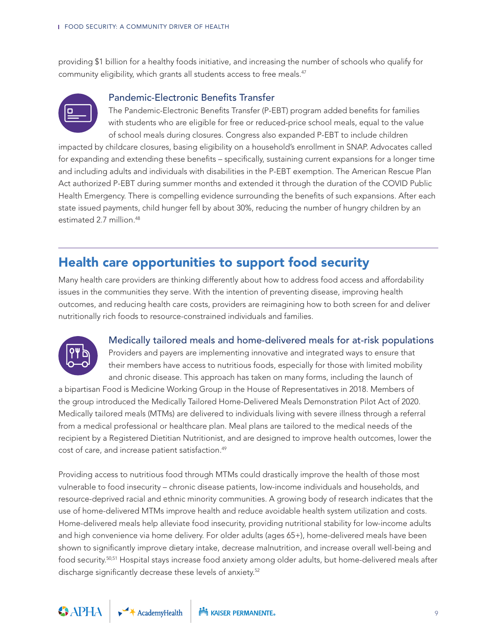providing \$1 billion for a healthy foods initiative, and increasing the number of schools who qualify for community eligibility, which grants all students access to free meals.<sup>47</sup>



#### Pandemic-Electronic Benefits Transfer

The Pandemic-Electronic Benefits Transfer (P-EBT) program added benefits for families with students who are eligible for free or reduced-price school meals, equal to the value of school meals during closures. Congress also expanded P-EBT to include children

impacted by childcare closures, basing eligibility on a household's enrollment in SNAP. Advocates called for expanding and extending these benefits – specifically, sustaining current expansions for a longer time and including adults and individuals with disabilities in the P-EBT exemption. The American Rescue Plan Act authorized P-EBT during summer months and extended it through the duration of the COVID Public Health Emergency. There is compelling evidence surrounding the benefits of such expansions. After each state issued payments, child hunger fell by about 30%, reducing the number of hungry children by an estimated 2.7 million.<sup>48</sup>

## Health care opportunities to support food security

Many health care providers are thinking differently about how to address food access and affordability issues in the communities they serve. With the intention of preventing disease, improving health outcomes, and reducing health care costs, providers are reimagining how to both screen for and deliver nutritionally rich foods to resource-constrained individuals and families.



#### Medically tailored meals and home-delivered meals for at-risk populations

Providers and payers are implementing innovative and integrated ways to ensure that their members have access to nutritious foods, especially for those with limited mobility and chronic disease. This approach has taken on many forms, including the launch of

a bipartisan Food is Medicine Working Group in the House of Representatives in 2018. Members of the group introduced the Medically Tailored Home-Delivered Meals Demonstration Pilot Act of 2020. Medically tailored meals (MTMs) are delivered to individuals living with severe illness through a referral from a medical professional or healthcare plan. Meal plans are tailored to the medical needs of the recipient by a Registered Dietitian Nutritionist, and are designed to improve health outcomes, lower the cost of care, and increase patient satisfaction.<sup>49</sup>

Providing access to nutritious food through MTMs could drastically improve the health of those most vulnerable to food insecurity – chronic disease patients, low-income individuals and households, and resource-deprived racial and ethnic minority communities. A growing body of research indicates that the use of home-delivered MTMs improve health and reduce avoidable health system utilization and costs. Home-delivered meals help alleviate food insecurity, providing nutritional stability for low-income adults and high convenience via home delivery. For older adults (ages 65+), home-delivered meals have been shown to significantly improve dietary intake, decrease malnutrition, and increase overall well-being and food security.50,51 Hospital stays increase food anxiety among older adults, but home-delivered meals after discharge significantly decrease these levels of anxiety.<sup>52</sup>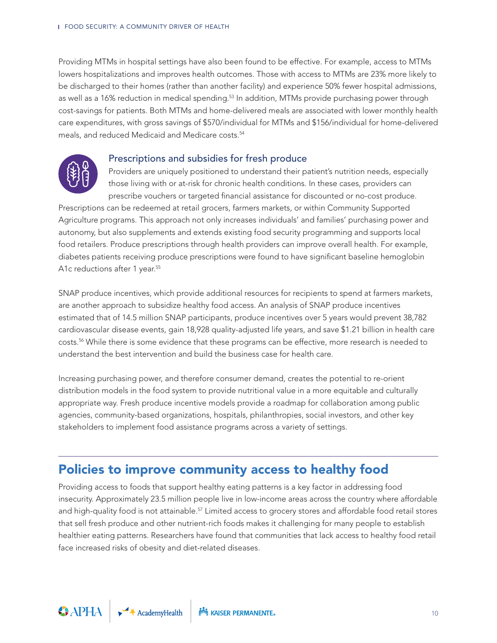Providing MTMs in hospital settings have also been found to be effective. For example, access to MTMs lowers hospitalizations and improves health outcomes. Those with access to MTMs are 23% more likely to be discharged to their homes (rather than another facility) and experience 50% fewer hospital admissions, as well as a 16% reduction in medical spending.<sup>53</sup> In addition, MTMs provide purchasing power through cost-savings for patients. Both MTMs and home-delivered meals are associated with lower monthly health care expenditures, with gross savings of \$570/individual for MTMs and \$156/individual for home-delivered meals, and reduced Medicaid and Medicare costs.<sup>54</sup>

#### Prescriptions and subsidies for fresh produce



Providers are uniquely positioned to understand their patient's nutrition needs, especially those living with or at-risk for chronic health conditions. In these cases, providers can prescribe vouchers or targeted financial assistance for discounted or no-cost produce.

Prescriptions can be redeemed at retail grocers, farmers markets, or within Community Supported Agriculture programs. This approach not only increases individuals' and families' purchasing power and autonomy, but also supplements and extends existing food security programming and supports local food retailers. Produce prescriptions through health providers can improve overall health. For example, diabetes patients receiving produce prescriptions were found to have significant baseline hemoglobin A1c reductions after 1 year.<sup>55</sup>

SNAP produce incentives, which provide additional resources for recipients to spend at farmers markets, are another approach to subsidize healthy food access. An analysis of SNAP produce incentives estimated that of 14.5 million SNAP participants, produce incentives over 5 years would prevent 38,782 cardiovascular disease events, gain 18,928 quality-adjusted life years, and save \$1.21 billion in health care costs.56 While there is some evidence that these programs can be effective, more research is needed to understand the best intervention and build the business case for health care.

Increasing purchasing power, and therefore consumer demand, creates the potential to re-orient distribution models in the food system to provide nutritional value in a more equitable and culturally appropriate way. Fresh produce incentive models provide a roadmap for collaboration among public agencies, community-based organizations, hospitals, philanthropies, social investors, and other key stakeholders to implement food assistance programs across a variety of settings.

## Policies to improve community access to healthy food

Providing access to foods that support healthy eating patterns is a key factor in addressing food insecurity. Approximately 23.5 million people live in low-income areas across the country where affordable and high-quality food is not attainable.<sup>57</sup> Limited access to grocery stores and affordable food retail stores that sell fresh produce and other nutrient-rich foods makes it challenging for many people to establish healthier eating patterns. Researchers have found that communities that lack access to healthy food retail face increased risks of obesity and diet-related diseases.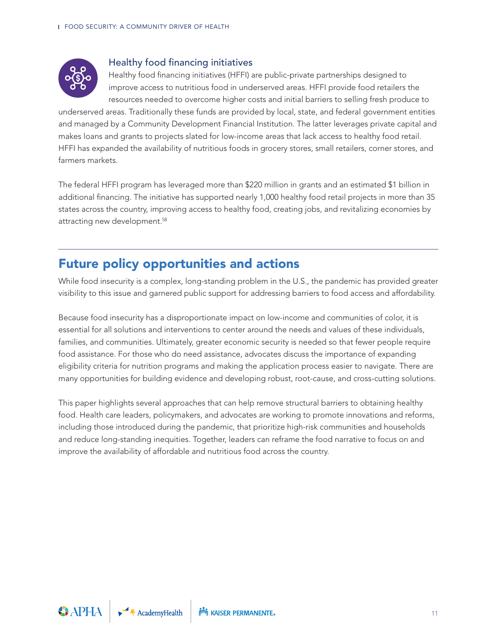

#### Healthy food financing initiatives

Healthy food financing initiatives (HFFI) are public-private partnerships designed to improve access to nutritious food in underserved areas. HFFI provide food retailers the resources needed to overcome higher costs and initial barriers to selling fresh produce to

underserved areas. Traditionally these funds are provided by local, state, and federal government entities and managed by a Community Development Financial Institution. The latter leverages private capital and makes loans and grants to projects slated for low-income areas that lack access to healthy food retail. HFFI has expanded the availability of nutritious foods in grocery stores, small retailers, corner stores, and farmers markets.

The federal HFFI program has leveraged more than \$220 million in grants and an estimated \$1 billion in additional financing. The initiative has supported nearly 1,000 healthy food retail projects in more than 35 states across the country, improving access to healthy food, creating jobs, and revitalizing economies by attracting new development.<sup>58</sup>

## Future policy opportunities and actions

While food insecurity is a complex, long-standing problem in the U.S., the pandemic has provided greater visibility to this issue and garnered public support for addressing barriers to food access and affordability.

Because food insecurity has a disproportionate impact on low-income and communities of color, it is essential for all solutions and interventions to center around the needs and values of these individuals, families, and communities. Ultimately, greater economic security is needed so that fewer people require food assistance. For those who do need assistance, advocates discuss the importance of expanding eligibility criteria for nutrition programs and making the application process easier to navigate. There are many opportunities for building evidence and developing robust, root-cause, and cross-cutting solutions.

This paper highlights several approaches that can help remove structural barriers to obtaining healthy food. Health care leaders, policymakers, and advocates are working to promote innovations and reforms, including those introduced during the pandemic, that prioritize high-risk communities and households and reduce long-standing inequities. Together, leaders can reframe the food narrative to focus on and improve the availability of affordable and nutritious food across the country.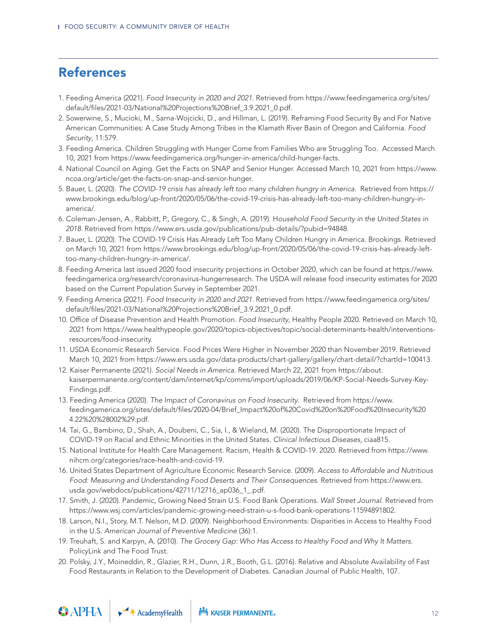## References

- 1. Feeding America (2021). *Food Insecurity in 2020 and 2021*. Retrieved from https://www.feedingamerica.org/sites/ default/files/2021-03/National%20Projections%20Brief\_3.9.2021\_0.pdf.
- 2. Sowerwine, S., Mucioki, M., Sarna-Wojcicki, D., and Hillman, L. (2019). Reframing Food Security By and For Native American Communities: A Case Study Among Tribes in the Klamath River Basin of Oregon and California. *Food Security*, 11:579.
- 3. Feeding America. Children Struggling with Hunger Come from Families Who are Struggling Too. Accessed March 10, 2021 from https://www.feedingamerica.org/hunger-in-america/child-hunger-facts.
- 4. National Council on Aging. Get the Facts on SNAP and Senior Hunger. Accessed March 10, 2021 from https://www. ncoa.org/article/get-the-facts-on-snap-and-senior-hunger.
- 5. Bauer, L. (2020). *The COVID-19 crisis has already left too many children hungry in America*. Retrieved from https:// www.brookings.edu/blog/up-front/2020/05/06/the-covid-19-crisis-has-already-left-too-many-children-hungry-inamerica/.
- 6. Coleman-Jensen, A., Rabbitt, P., Gregory, C., & Singh, A. (2019). H*ousehold Food Security in the United States in 2018*. Retrieved from https://www.ers.usda.gov/publications/pub-details/?pubid=94848.
- 7. Bauer, L. (2020). The COVID-19 Crisis Has Already Left Too Many Children Hungry in America. Brookings. Retrieved on March 10, 2021 from https://www.brookings.edu/blog/up-front/2020/05/06/the-covid-19-crisis-has-already-lefttoo-many-children-hungry-in-america/.
- 8. Feeding America last issued 2020 food insecurity projections in October 2020, which can be found at https://www. feedingamerica.org/research/coronavirus-hungerresearch. The USDA will release food insecurity estimates for 2020 based on the Current Population Survey in September 2021.
- 9. Feeding America (2021). *Food Insecurity in 2020 and 2021*. Retrieved from https://www.feedingamerica.org/sites/ default/files/2021-03/National%20Projections%20Brief\_3.9.2021\_0.pdf.
- 10. Office of Disease Prevention and Health Promotion. *Food Insecurity*, Healthy People 2020. Retrieved on March 10, 2021 from https://www.healthypeople.gov/2020/topics-objectives/topic/social-determinants-health/interventionsresources/food-insecurity.
- 11. USDA Economic Research Service. Food Prices Were Higher in November 2020 than November 2019. Retrieved March 10, 2021 from https://www.ers.usda.gov/data-products/chart-gallery/gallery/chart-detail/?chartId=100413.
- 12. Kaiser Permanente (2021). *Social Needs in America*. Retrieved March 22, 2021 from https://about. kaiserpermanente.org/content/dam/internet/kp/comms/import/uploads/2019/06/KP-Social-Needs-Survey-Key-Findings.pdf.
- 13. Feeding America (2020). *The Impact of Coronavirus on Food Insecurity*. Retrieved from https://www. feedingamerica.org/sites/default/files/2020-04/Brief\_Impact%20of%20Covid%20on%20Food%20Insecurity%20 4.22%20%28002%29.pdf.
- 14. Tai, G., Bambino, D., Shah, A., Doubeni, C., Sia, I., & Wieland, M. (2020). The Disproportionate Impact of COVID-19 on Racial and Ethnic Minorities in the United States. *Clinical Infectious Diseases*, ciaa815.
- 15. National Institute for Health Care Management. Racism, Health & COVID-19. 2020. Retrieved from https://www. nihcm.org/categories/race-health-and-covid-19.
- 16. United States Department of Agriculture Economic Research Service. (2009). *Access to Affordable and Nutritious Food: Measuring and Understanding Food Deserts and Their Consequences*. Retrieved from https://www.ers. usda.gov/webdocs/publications/42711/12716\_ap036\_1\_.pdf.
- 17. Smith, J. (2020). Pandemic, Growing Need Strain U.S. Food Bank Operations. *Wall Street Journal*. Retrieved from https://www.wsj.com/articles/pandemic-growing-need-strain-u-s-food-bank-operations-11594891802.
- 18. Larson, N.I., Story, M.T. Nelson, M.D. (2009). Neighborhood Environments: Disparities in Access to Healthy Food in the U.S. *American Journal of Preventive Medicine* (36):1.
- 19. Treuhaft, S. and Karpyn, A. (2010). *The Grocery Gap: Who Has Access to Healthy Food and Why It Matters.* PolicyLink and The Food Trust.
- 20. Polsky, J.Y., Moineddin, R., Glazier, R.H., Dunn, J.R., Booth, G.L. (2016). Relative and Absolute Availability of Fast Food Restaurants in Relation to the Development of Diabetes. Canadian Journal of Public Health, 107.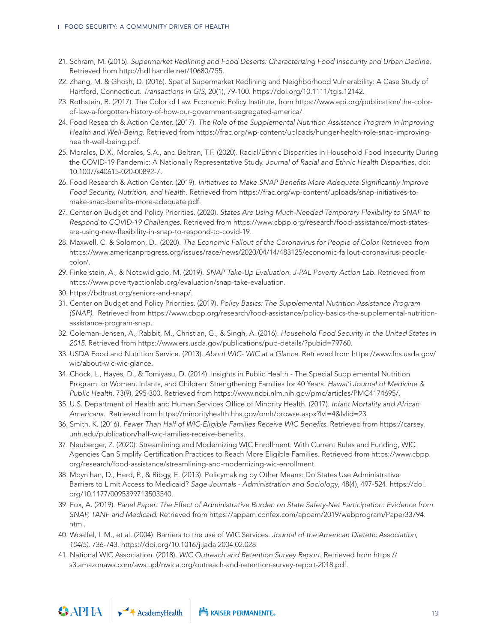- 21. Schram, M. (2015). *Supermarket Redlining and Food Deserts: Characterizing Food Insecurity and Urban Decline.* Retrieved from http://hdl.handle.net/10680/755.
- 22. Zhang, M. & Ghosh, D. (2016). Spatial Supermarket Redlining and Neighborhood Vulnerability: A Case Study of Hartford, Connecticut. *Transactions in GIS*, 20(1), 79-100. https://doi.org/10.1111/tgis.12142.
- 23. Rothstein, R. (2017). The Color of Law. Economic Policy Institute, from https://www.epi.org/publication/the-colorof-law-a-forgotten-history-of-how-our-government-segregated-america/.
- 24. Food Research & Action Center. (2017). *The Role of the Supplemental Nutrition Assistance Program in Improving Health and Well-Being*. Retrieved from https://frac.org/wp-content/uploads/hunger-health-role-snap-improvinghealth-well-being.pdf.
- 25. Morales, D.X., Morales, S.A., and Beltran, T.F. (2020). Racial/Ethnic Disparities in Household Food Insecurity During the COVID-19 Pandemic: A Nationally Representative Study. *Journal of Racial and Ethnic Health Disparities*, doi: 10.1007/s40615-020-00892-7.
- 26. Food Research & Action Center. (2019). *Initiatives to Make SNAP Benefits More Adequate Significantly Improve Food Security, Nutrition, and Health*. Retrieved from https://frac.org/wp-content/uploads/snap-initiatives-tomake-snap-benefits-more-adequate.pdf.
- 27. Center on Budget and Policy Priorities. (2020). *States Are Using Much-Needed Temporary Flexibility to SNAP to Respond to COVID-19 Challenges*. Retrieved from https://www.cbpp.org/research/food-assistance/most-statesare-using-new-flexibility-in-snap-to-respond-to-covid-19.
- 28. Maxwell, C. & Solomon, D. (2020). *The Economic Fallout of the Coronavirus for People of Color.* Retrieved from https://www.americanprogress.org/issues/race/news/2020/04/14/483125/economic-fallout-coronavirus-peoplecolor/.
- 29. Finkelstein, A., & Notowidigdo, M. (2019). *SNAP Take-Up Evaluation. J-PAL Poverty Action Lab.* Retrieved from https://www.povertyactionlab.org/evaluation/snap-take-evaluation.
- 30. https://bdtrust.org/seniors-and-snap/.
- 31. Center on Budget and Policy Priorities. (2019). *Policy Basics: The Supplemental Nutrition Assistance Program (SNAP)*. Retrieved from https://www.cbpp.org/research/food-assistance/policy-basics-the-supplemental-nutritionassistance-program-snap.
- 32. Coleman-Jensen, A., Rabbit, M., Christian, G., & Singh, A. (2016). *Household Food Security in the United States in 2015*. Retrieved from https://www.ers.usda.gov/publications/pub-details/?pubid=79760.
- 33. USDA Food and Nutrition Service. (2013). *About WIC- WIC at a Glance*. Retrieved from https://www.fns.usda.gov/ wic/about-wic-wic-glance.
- 34. Chock, L., Hayes, D., & Tomiyasu, D. (2014). Insights in Public Health The Special Supplemental Nutrition Program for Women, Infants, and Children: Strengthening Families for 40 Years. *Hawai'i Journal of Medicine & Public Health*. 73(9), 295-300. Retrieved from https://www.ncbi.nlm.nih.gov/pmc/articles/PMC4174695/.
- 35. U.S. Department of Health and Human Services Office of Minority Health. (2017). *Infant Mortality and African Americans*. Retrieved from https://minorityhealth.hhs.gov/omh/browse.aspx?lvl=4&lvlid=23.
- 36. Smith, K. (2016). *Fewer Than Half of WIC-Eligible Families Receive WIC Benefits*. Retrieved from https://carsey. unh.edu/publication/half-wic-families-receive-benefits.
- 37. Neuberger, Z. (2020). Streamlining and Modernizing WIC Enrollment: With Current Rules and Funding, WIC Agencies Can Simplify Certification Practices to Reach More Eligible Families. Retrieved from https://www.cbpp. org/research/food-assistance/streamlining-and-modernizing-wic-enrollment.
- 38. Moynihan, D., Herd, P., & Ribgy, E. (2013). Policymaking by Other Means: Do States Use Administrative Barriers to Limit Access to Medicaid? *Sage Journals - Administration and Sociology*, 48(4), 497-524. https://doi. org/10.1177/0095399713503540.
- 39. Fox, A. (2019). *Panel Paper: The Effect of Administrative Burden on State Safety-Net Participation: Evidence from SNAP, TANF and Medicaid*. Retrieved from https://appam.confex.com/appam/2019/webprogram/Paper33794. html.
- 40. Woelfel, L.M., et al. (2004). Barriers to the use of WIC Services. *Journal of the American Dietetic Association, 104(5)*. 736-743. https://doi.org/10.1016/j.jada.2004.02.028.
- 41. National WIC Association. (2018). *WIC Outreach and Retention Survey Report*. Retrieved from https:// s3.amazonaws.com/aws.upl/nwica.org/outreach-and-retention-survey-report-2018.pdf.